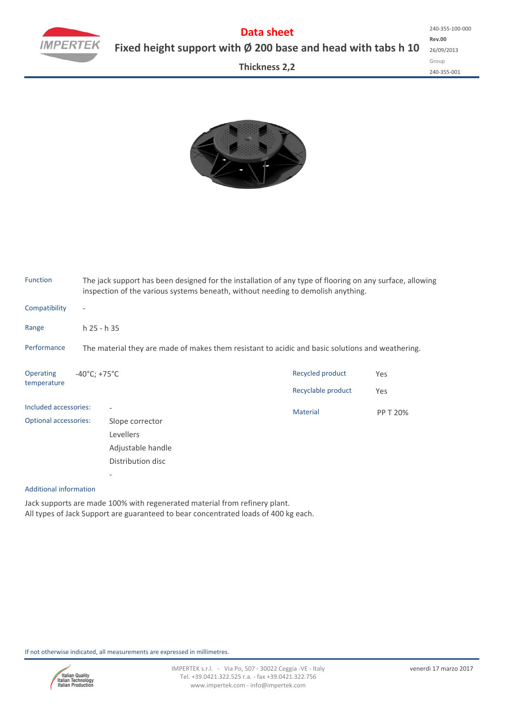

**Data sheet Fixed height support with Ø 200 base and head with tabs h 10**

**Thickness 2,2**

**Rev.00** 26/09/2013 Group 240‐355‐001 240‐355‐100‐000



| <b>Function</b>              |                                                                                                  | The jack support has been designed for the installation of any type of flooring on any surface, allowing<br>inspection of the various systems beneath, without needing to demolish anything. |                    |          |  |  |  |  |  |  |  |
|------------------------------|--------------------------------------------------------------------------------------------------|----------------------------------------------------------------------------------------------------------------------------------------------------------------------------------------------|--------------------|----------|--|--|--|--|--|--|--|
| Compatibility                |                                                                                                  |                                                                                                                                                                                              |                    |          |  |  |  |  |  |  |  |
| Range                        |                                                                                                  | $h$ 25 - $h$ 35                                                                                                                                                                              |                    |          |  |  |  |  |  |  |  |
| Performance                  | The material they are made of makes them resistant to acidic and basic solutions and weathering. |                                                                                                                                                                                              |                    |          |  |  |  |  |  |  |  |
| <b>Operating</b>             | $-40^{\circ}$ C; +75 $^{\circ}$ C                                                                |                                                                                                                                                                                              | Recycled product   | Yes      |  |  |  |  |  |  |  |
| temperature                  |                                                                                                  |                                                                                                                                                                                              | Recyclable product | Yes      |  |  |  |  |  |  |  |
| Included accessories:        |                                                                                                  |                                                                                                                                                                                              | <b>Material</b>    | PP T 20% |  |  |  |  |  |  |  |
| <b>Optional accessories:</b> |                                                                                                  | Slope corrector                                                                                                                                                                              |                    |          |  |  |  |  |  |  |  |
|                              |                                                                                                  | Levellers                                                                                                                                                                                    |                    |          |  |  |  |  |  |  |  |
|                              |                                                                                                  | Adjustable handle<br>Distribution disc                                                                                                                                                       |                    |          |  |  |  |  |  |  |  |
|                              |                                                                                                  |                                                                                                                                                                                              |                    |          |  |  |  |  |  |  |  |
|                              |                                                                                                  |                                                                                                                                                                                              |                    |          |  |  |  |  |  |  |  |

## Additional information

Jack supports are made 100% with regenerated material from refinery plant. All types of Jack Support are guaranteed to bear concentrated loads of 400 kg each.

If not otherwise indicated, all measurements are expressed in millimetres.